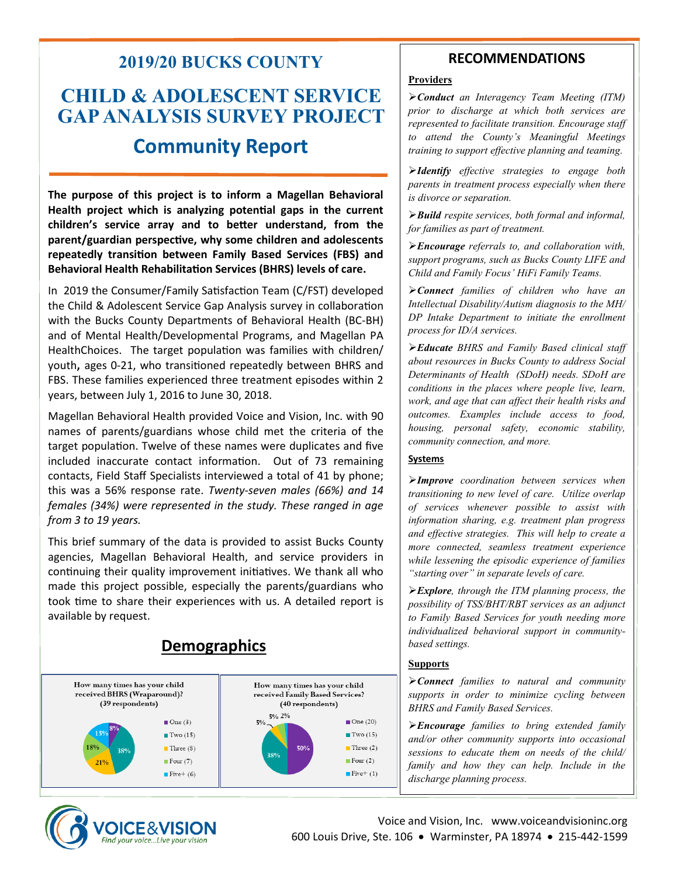## **2019/20 BUCKS COUNTY**

# **CHILD & ADOLESCENT SERVICE GAP ANALYSIS SURVEY PROJECT Community Report**

**The purpose of this project is to inform a Magellan Behavioral Health project which is analyzing potential gaps in the current children's service array and to better understand, from the parent/guardian perspective, why some children and adolescents repeatedly transition between Family Based Services (FBS) and Behavioral Health Rehabilitation Services (BHRS) levels of care.**

In 2019 the Consumer/Family Satisfaction Team (C/FST) developed the Child & Adolescent Service Gap Analysis survey in collaboration with the Bucks County Departments of Behavioral Health (BC-BH) and of Mental Health/Developmental Programs, and Magellan PA HealthChoices. The target population was families with children/ youth**,** ages 0-21, who transitioned repeatedly between BHRS and FBS. These families experienced three treatment episodes within 2 years, between July 1, 2016 to June 30, 2018.

Magellan Behavioral Health provided Voice and Vision, Inc. with 90 names of parents/guardians whose child met the criteria of the target population. Twelve of these names were duplicates and five included inaccurate contact information. Out of 73 remaining contacts, Field Staff Specialists interviewed a total of 41 by phone; this was a 56% response rate. *Twenty-seven males (66%) and 14 females (34%) were represented in the study. These ranged in age from 3 to 19 years.* 

This brief summary of the data is provided to assist Bucks County agencies, Magellan Behavioral Health, and service providers in continuing their quality improvement initiatives. We thank all who made this project possible, especially the parents/guardians who took time to share their experiences with us. A detailed report is available by request.



### **RECOMMENDATIONS**

#### **Providers**

➢*Conduct an Interagency Team Meeting (ITM) prior to discharge at which both services are represented to facilitate transition. Encourage staff to attend the County's Meaningful Meetings training to support effective planning and teaming.*

➢*Identify effective strategies to engage both parents in treatment process especially when there is divorce or separation.*

➢*Build respite services, both formal and informal, for families as part of treatment.*

➢*Encourage referrals to, and collaboration with, support programs, such as Bucks County LIFE and Child and Family Focus' HiFi Family Teams.* 

➢*Connect families of children who have an Intellectual Disability/Autism diagnosis to the MH/ DP Intake Department to initiate the enrollment process for ID/A services.*

➢*Educate BHRS and Family Based clinical staff about resources in Bucks County to address Social Determinants of Health (SDoH) needs. SDoH are conditions in the places where people live, learn, work, and age that can affect their health risks and outcomes. Examples include access to food, housing, personal safety, economic stability, community connection, and more.*

#### **Systems**

➢*Improve coordination between services when transitioning to new level of care. Utilize overlap of services whenever possible to assist with information sharing, e.g. treatment plan progress and effective strategies. This will help to create a more connected, seamless treatment experience while lessening the episodic experience of families "starting over" in separate levels of care.*

➢*Explore, through the ITM planning process, the possibility of TSS/BHT/RBT services as an adjunct to Family Based Services for youth needing more individualized behavioral support in communitybased settings.*

#### **Supports**

➢*Connect families to natural and community supports in order to minimize cycling between BHRS and Family Based Services.*

➢*Encourage families to bring extended family and/or other community supports into occasional sessions to educate them on needs of the child/ family and how they can help. Include in the discharge planning process.*



Voice and Vision, Inc. www.voiceandvisioninc.org 600 Louis Drive, Ste. 106 • Warminster, PA 18974 • 215-442-1599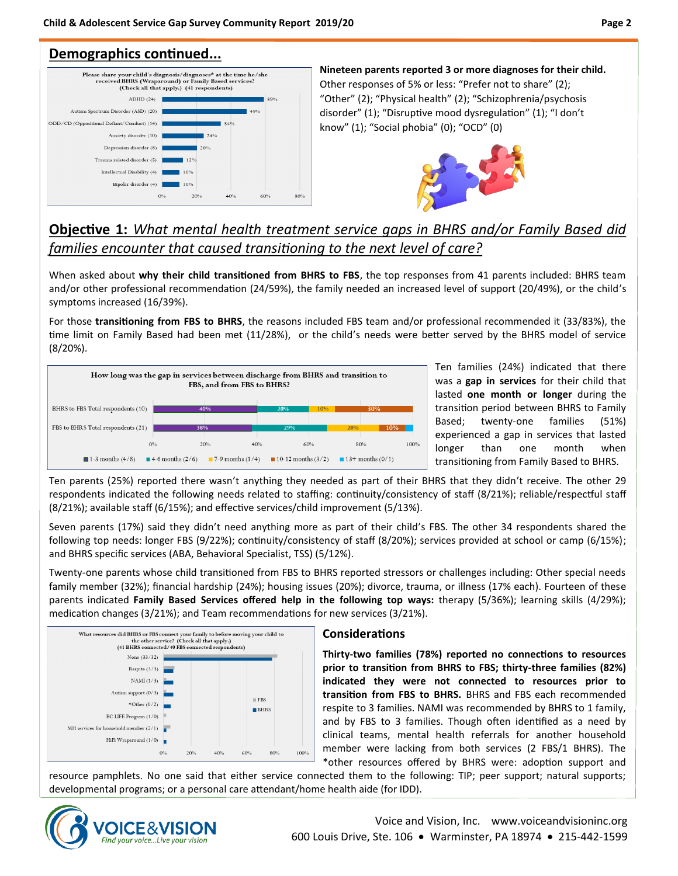### **Demographics continued...**



**Nineteen parents reported 3 or more diagnoses for their child.**  Other responses of 5% or less: "Prefer not to share" (2); "Other" (2); "Physical health" (2); "Schizophrenia/psychosis disorder" (1); "Disruptive mood dysregulation" (1); "I don't know" (1); "Social phobia" (0); "OCD" (0)



### **Objective 1:** *What mental health treatment service gaps in BHRS and/or Family Based did families encounter that caused transitioning to the next level of care?*

When asked about **why their child transitioned from BHRS to FBS**, the top responses from 41 parents included: BHRS team and/or other professional recommendation (24/59%), the family needed an increased level of support (20/49%), or the child's symptoms increased (16/39%).

For those **transitioning from FBS to BHRS**, the reasons included FBS team and/or professional recommended it (33/83%), the time limit on Family Based had been met (11/28%), or the child's needs were better served by the BHRS model of service (8/20%).



Ten families (24%) indicated that there was a **gap in services** for their child that lasted **one month or longer** during the transition period between BHRS to Family Based; twenty-one families (51%) experienced a gap in services that lasted longer than one month when transitioning from Family Based to BHRS.

Ten parents (25%) reported there wasn't anything they needed as part of their BHRS that they didn't receive. The other 29 respondents indicated the following needs related to staffing: continuity/consistency of staff (8/21%); reliable/respectful staff (8/21%); available staff (6/15%); and effective services/child improvement (5/13%).

Seven parents (17%) said they didn't need anything more as part of their child's FBS. The other 34 respondents shared the following top needs: longer FBS (9/22%); continuity/consistency of staff (8/20%); services provided at school or camp (6/15%); and BHRS specific services (ABA, Behavioral Specialist, TSS) (5/12%).

Twenty-one parents whose child transitioned from FBS to BHRS reported stressors or challenges including: Other special needs family member (32%); financial hardship (24%); housing issues (20%); divorce, trauma, or illness (17% each). Fourteen of these parents indicated **Family Based Services offered help in the following top ways:** therapy (5/36%); learning skills (4/29%); medication changes (3/21%); and Team recommendations for new services (3/21%).



#### **Considerations**

**Thirty-two families (78%) reported no connections to resources prior to transition from BHRS to FBS; thirty-three families (82%) indicated they were not connected to resources prior to transition from FBS to BHRS.** BHRS and FBS each recommended respite to 3 families. NAMI was recommended by BHRS to 1 family, and by FBS to 3 families. Though often identified as a need by clinical teams, mental health referrals for another household member were lacking from both services (2 FBS/1 BHRS). The \*other resources offered by BHRS were: adoption support and

resource pamphlets. No one said that either service connected them to the following: TIP; peer support; natural supports; developmental programs; or a personal care attendant/home health aide (for IDD).

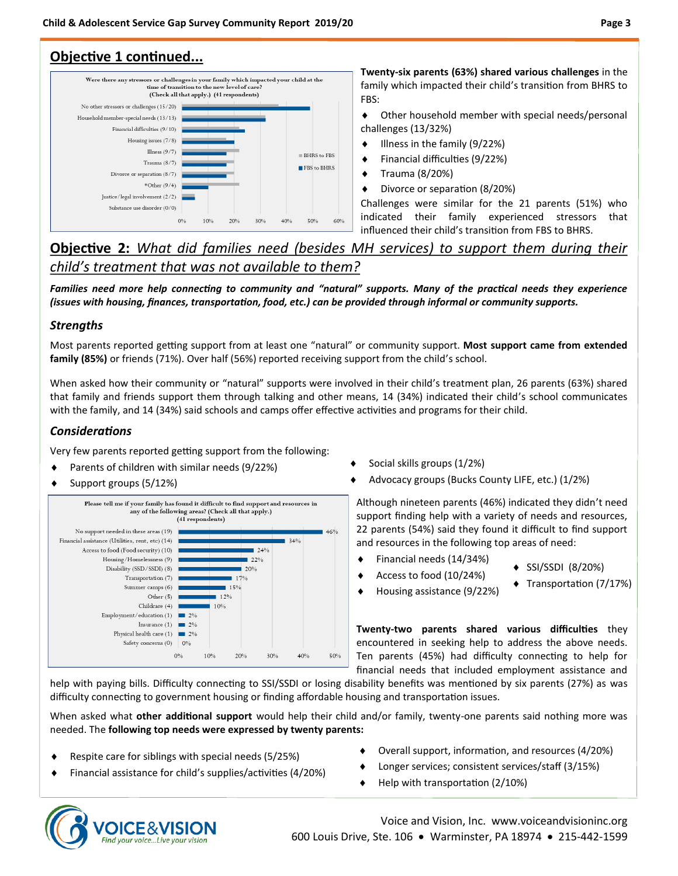### **Objective 1 continued...**



**Twenty-six parents (63%) shared various challenges** in the family which impacted their child's transition from BHRS to FBS:

 Other household member with special needs/personal challenges (13/32%)

- $\bullet$  Illness in the family (9/22%)
- Financial difficulties (9/22%)
- Trauma (8/20%)
- Divorce or separation (8/20%)

Challenges were similar for the 21 parents (51%) who indicated their family experienced stressors that influenced their child's transition from FBS to BHRS.

### **Objective 2:** *What did families need (besides MH services) to support them during their child's treatment that was not available to them?*

*Families need more help connecting to community and "natural" supports. Many of the practical needs they experience (issues with housing, finances, transportation, food, etc.) can be provided through informal or community supports.* 

#### *Strengths*

Most parents reported getting support from at least one "natural" or community support. **Most support came from extended family (85%)** or friends (71%). Over half (56%) reported receiving support from the child's school.

When asked how their community or "natural" supports were involved in their child's treatment plan, 26 parents (63%) shared that family and friends support them through talking and other means, 14 (34%) indicated their child's school communicates with the family, and 14 (34%) said schools and camps offer effective activities and programs for their child.

### *Considerations*

Very few parents reported getting support from the following:

- Parents of children with similar needs (9/22%)
- Support groups (5/12%)



- Social skills groups (1/2%)
- Advocacy groups (Bucks County LIFE, etc.) (1/2%)

Although nineteen parents (46%) indicated they didn't need support finding help with a variety of needs and resources, 22 parents (54%) said they found it difficult to find support and resources in the following top areas of need:

- Financial needs (14/34%)
	- Access to food (10/24%)
- SSI/SSDI (8/20%) ◆ Transportation (7/17%)
- Housing assistance (9/22%)

**Twenty-two parents shared various difficulties** they encountered in seeking help to address the above needs. Ten parents (45%) had difficulty connecting to help for financial needs that included employment assistance and

help with paying bills. Difficulty connecting to SSI/SSDI or losing disability benefits was mentioned by six parents (27%) as was difficulty connecting to government housing or finding affordable housing and transportation issues.

When asked what **other additional support** would help their child and/or family, twenty-one parents said nothing more was needed. The **following top needs were expressed by twenty parents:** 

Respite care for siblings with special needs (5/25%)

Financial assistance for child's supplies/activities (4/20%)

- Overall support, information, and resources (4/20%)
- Longer services; consistent services/staff (3/15%)
- Help with transportation (2/10%)